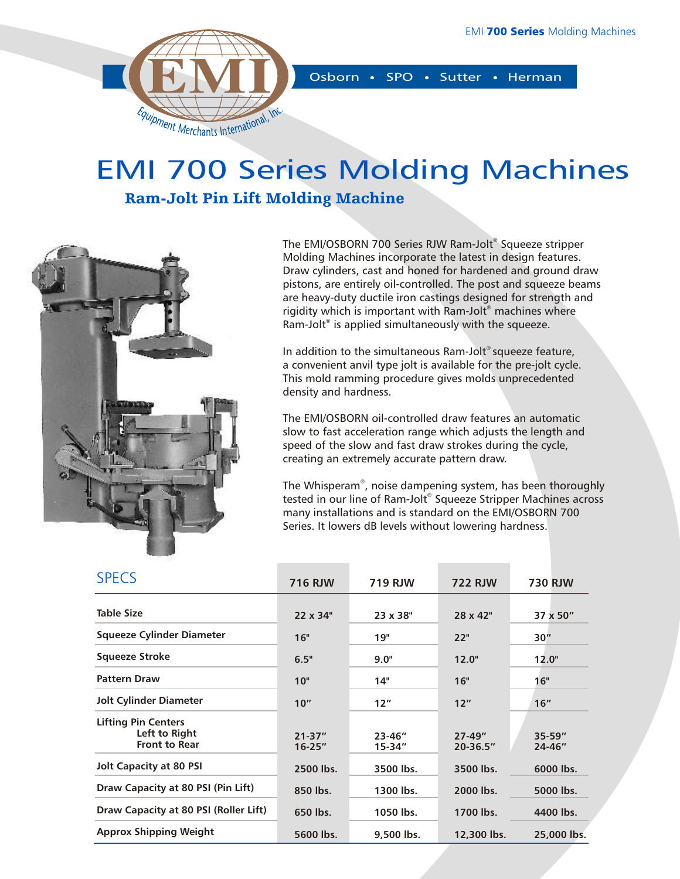

## EMI 700 Series Molding Machines

## Ram-Jolt Pin Lift Molding Machine



The EMI/OSBORN 700 Series RJW Ram-Jolt® Squeeze stripper Molding Machines incorporate the latest in design features. Draw cylinders, cast and honed for hardened and ground draw pistons, are entirely oil-controlled. The post and squeeze beams are heavy-duty ductile iron castings designed for strength and rigidity which is important with Ram-Jolt® machines where Ram-Jolt<sup>®</sup> is applied simultaneously with the squeeze.

In addition to the simultaneous Ram-Jolt<sup>®</sup> squeeze feature, a convenient anvil type jolt is available for the pre-jolt cycle. This mold ramming procedure gives molds unprecedented density and hardness.

The EMI/OSBORN oil-controlled draw features an automatic slow to fast acceleration range which adjusts the length and speed of the slow and fast draw strokes during the cycle, creating an extremely accurate pattern draw.

The Whisperam®, noise dampening system, has been thoroughly tested in our line of Ram-Jolt® Squeeze Stripper Machines across many installations and is standard on the EMI/OSBORN 700 Series. It lowers dB levels without lowering hardness.

| <b>SPECS</b>                                                        | <b>716 RJW</b>           | <b>719 RJW</b>            | <b>722 RJW</b>             | <b>730 RJW</b>        |  |
|---------------------------------------------------------------------|--------------------------|---------------------------|----------------------------|-----------------------|--|
| <b>Table Size</b>                                                   | 22 x 34"                 | 23 x 38"                  | 28 x 42"                   | 37 x 50"              |  |
| <b>Squeeze Cylinder Diameter</b>                                    | 16"                      | 19"                       | 22"                        | 30''                  |  |
| <b>Squeeze Stroke</b>                                               | 6.5"                     | 9.0"                      | 12.0"                      | 12.0"                 |  |
| <b>Pattern Draw</b>                                                 | 10"                      | 14"                       | 16"                        | 16"                   |  |
| <b>Jolt Cylinder Diameter</b>                                       | 10''                     | 12"                       | 12"                        | 16"                   |  |
| <b>Lifting Pin Centers</b><br>Left to Right<br><b>Front to Rear</b> | $21 - 37"$<br>$16 - 25"$ | $23 - 46''$<br>$15 - 34"$ | $27 - 49"$<br>$20 - 36.5"$ | $35 - 59''$<br>24-46" |  |
| <b>Jolt Capacity at 80 PSI</b>                                      | 2500 lbs.                | 3500 lbs.                 | 3500 lbs.                  | 6000 lbs.             |  |
| Draw Capacity at 80 PSI (Pin Lift)                                  | 850 lbs.                 | 1300 lbs.                 | 2000 lbs.                  | 5000 lbs.             |  |
| Draw Capacity at 80 PSI (Roller Lift)                               | 650 lbs.                 | 1050 lbs.                 | 1700 lbs.                  | 4400 lbs.             |  |
| <b>Approx Shipping Weight</b>                                       | 5600 lbs.                | 9,500 lbs.                | 12,300 lbs.                | 25,000 lbs.           |  |